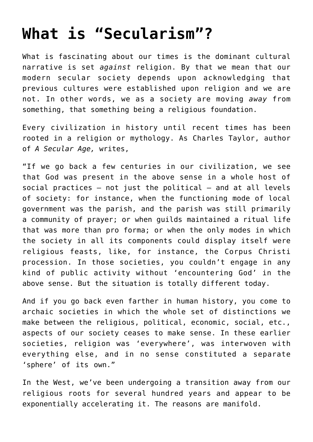## **[What is "Secularism"?](https://intellectualtakeout.org/2015/09/what-is-secularism/)**

What is fascinating about our times is the dominant cultural narrative is set *against* religion. By that we mean that our modern secular society depends upon acknowledging that previous cultures were established upon religion and we are not. In other words, we as a society are moving *away* from something, that something being a religious foundation.

Every civilization in history until recent times has been rooted in a religion or mythology. As Charles Taylor, author of *A Secular Age,* writes,

"If we go back a few centuries in our civilization, we see that God was present in the above sense in a whole host of social practices  $-$  not just the political  $-$  and at all levels of society: for instance, when the functioning mode of local government was the parish, and the parish was still primarily a community of prayer; or when guilds maintained a ritual life that was more than pro forma; or when the only modes in which the society in all its components could display itself were religious feasts, like, for instance, the Corpus Christi procession. In those societies, you couldn't engage in any kind of public activity without 'encountering God' in the above sense. But the situation is totally different today.

And if you go back even farther in human history, you come to archaic societies in which the whole set of distinctions we make between the religious, political, economic, social, etc., aspects of our society ceases to make sense. In these earlier societies, religion was 'everywhere', was interwoven with everything else, and in no sense constituted a separate 'sphere' of its own."

In the West, we've been undergoing a transition away from our religious roots for several hundred years and appear to be exponentially accelerating it. The reasons are manifold.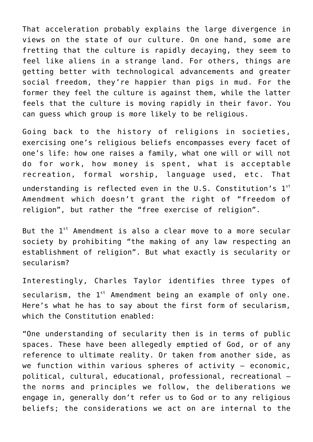That acceleration probably explains the large divergence in views on the state of our culture. On one hand, some are fretting that the culture is rapidly decaying, they seem to feel like aliens in a strange land. For others, things are getting better with technological advancements and greater social freedom, they're happier than pigs in mud. For the former they feel the culture is against them, while the latter feels that the culture is moving rapidly in their favor. You can guess which group is more likely to be religious.

Going back to the history of religions in societies, exercising one's religious beliefs encompasses every facet of one's life: how one raises a family, what one will or will not do for work, how money is spent, what is acceptable recreation, formal worship, language used, etc. That understanding is reflected even in the U.S. Constitution's  $1^{st}$ Amendment which doesn't grant the right of "freedom of religion", but rather the "free exercise of religion".

But the  $1^{st}$  Amendment is also a clear move to a more secular society by prohibiting "the making of any law respecting an establishment of religion". But what exactly is secularity or secularism?

Interestingly, Charles Taylor identifies three types of secularism, the  $1^{st}$  Amendment being an example of only one. Here's what he has to say about the first form of secularism, which the Constitution enabled:

"One understanding of secularity then is in terms of public spaces. These have been allegedly emptied of God, or of any reference to ultimate reality. Or taken from another side, as we function within various spheres of activity – economic, political, cultural, educational, professional, recreational – the norms and principles we follow, the deliberations we engage in, generally don't refer us to God or to any religious beliefs; the considerations we act on are internal to the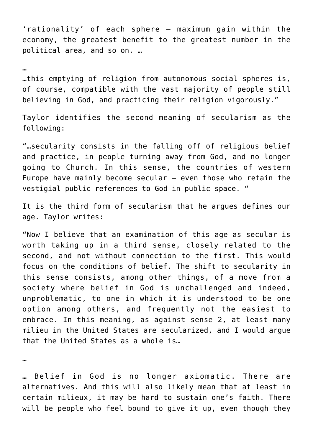'rationality' of each sphere – maximum gain within the economy, the greatest benefit to the greatest number in the political area, and so on. …

## …

…this emptying of religion from autonomous social spheres is, of course, compatible with the vast majority of people still believing in God, and practicing their religion vigorously."

Taylor identifies the second meaning of secularism as the following:

"…secularity consists in the falling off of religious belief and practice, in people turning away from God, and no longer going to Church. In this sense, the countries of western Europe have mainly become secular – even those who retain the vestigial public references to God in public space. "

It is the third form of secularism that he argues defines our age. Taylor writes:

"Now I believe that an examination of this age as secular is worth taking up in a third sense, closely related to the second, and not without connection to the first. This would focus on the conditions of belief. The shift to secularity in this sense consists, among other things, of a move from a society where belief in God is unchallenged and indeed, unproblematic, to one in which it is understood to be one option among others, and frequently not the easiest to embrace. In this meaning, as against sense 2, at least many milieu in the United States are secularized, and I would argue that the United States as a whole is…

…

… Belief in God is no longer axiomatic. There are alternatives. And this will also likely mean that at least in certain milieux, it may be hard to sustain one's faith. There will be people who feel bound to give it up, even though they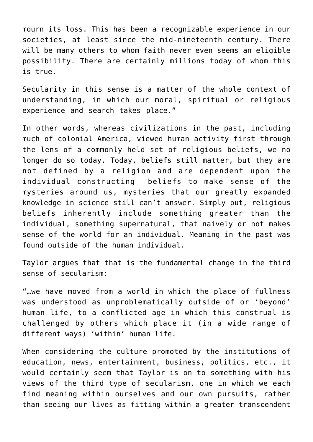mourn its loss. This has been a recognizable experience in our societies, at least since the mid-nineteenth century. There will be many others to whom faith never even seems an eligible possibility. There are certainly millions today of whom this is true.

Secularity in this sense is a matter of the whole context of understanding, in which our moral, spiritual or religious experience and search takes place."

In other words, whereas civilizations in the past, including much of colonial America, viewed human activity first through the lens of a commonly held set of religious beliefs, we no longer do so today. Today, beliefs still matter, but they are not defined by a religion and are dependent upon the individual constructing beliefs to make sense of the mysteries around us, mysteries that our greatly expanded knowledge in science still can't answer. Simply put, religious beliefs inherently include something greater than the individual, something supernatural, that naively or not makes sense of the world for an individual. Meaning in the past was found outside of the human individual.

Taylor argues that that is the fundamental change in the third sense of secularism:

"…we have moved from a world in which the place of fullness was understood as unproblematically outside of or 'beyond' human life, to a conflicted age in which this construal is challenged by others which place it (in a wide range of different ways) 'within' human life.

When considering the culture promoted by the institutions of education, news, entertainment, business, politics, etc., it would certainly seem that Taylor is on to something with his views of the third type of secularism, one in which we each find meaning within ourselves and our own pursuits, rather than seeing our lives as fitting within a greater transcendent